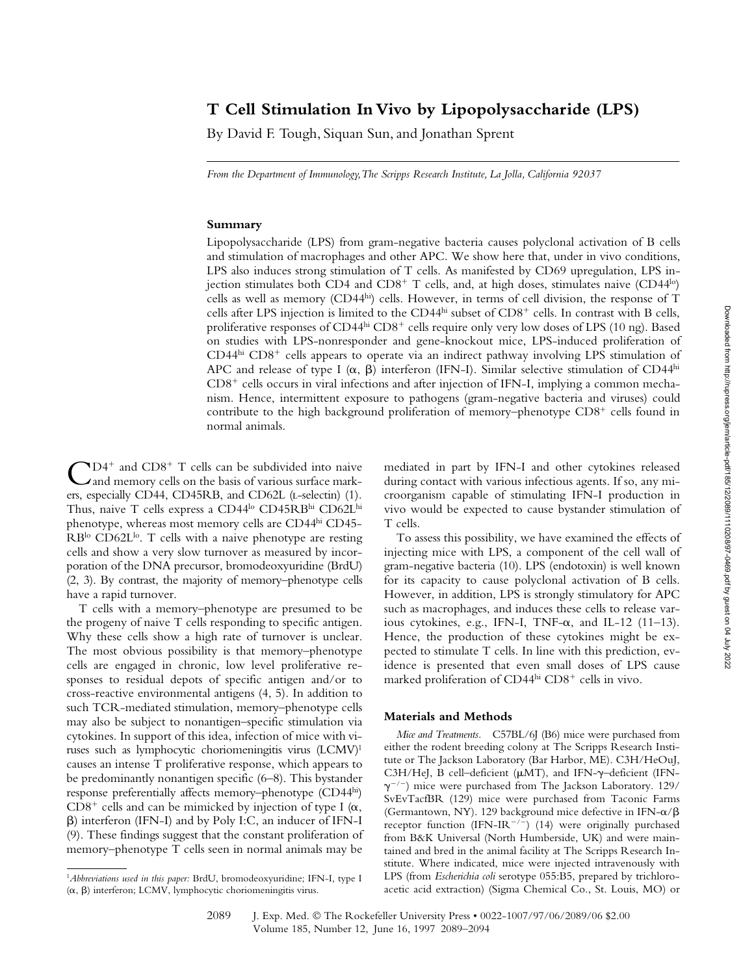# **T Cell Stimulation In Vivo by Lipopolysaccharide (LPS)**

By David F. Tough, Siquan Sun, and Jonathan Sprent

*From the Department of Immunology, The Scripps Research Institute, La Jolla, California 92037*

#### **Summary**

Lipopolysaccharide (LPS) from gram-negative bacteria causes polyclonal activation of B cells and stimulation of macrophages and other APC. We show here that, under in vivo conditions, LPS also induces strong stimulation of T cells. As manifested by CD69 upregulation, LPS injection stimulates both CD4 and CD8<sup>+</sup> T cells, and, at high doses, stimulates naive (CD44<sup>lo</sup>) cells as well as memory (CD44hi) cells. However, in terms of cell division, the response of T cells after LPS injection is limited to the CD44hi subset of CD8<sup>+</sup> cells. In contrast with B cells, proliferative responses of CD44hi CD8<sup>+</sup> cells require only very low doses of LPS (10 ng). Based on studies with LPS-nonresponder and gene-knockout mice, LPS-induced proliferation of CD44<sup>hi</sup> CD8<sup>+</sup> cells appears to operate via an indirect pathway involving LPS stimulation of APC and release of type I  $(\alpha, \beta)$  interferon (IFN-I). Similar selective stimulation of CD44<sup>hi</sup> CD8- cells occurs in viral infections and after injection of IFN-I, implying a common mechanism. Hence, intermittent exposure to pathogens (gram-negative bacteria and viruses) could contribute to the high background proliferation of memory-phenotype CD8<sup>+</sup> cells found in normal animals.

 $\bigodot$ D4<sup>+</sup> and CD8<sup>+</sup> T cells can be subdivided into naive<br>
and memory cells on the basis of various surface markand memory cells on the basis of various surface markers, especially CD44, CD45RB, and CD62L (L-selectin) (1). Thus, naive T cells express a CD44<sup>lo</sup> CD45RBhi CD62Lhi phenotype, whereas most memory cells are CD44hi CD45- RB<sup>lo</sup> CD62L<sup>lo</sup>. T cells with a naive phenotype are resting cells and show a very slow turnover as measured by incorporation of the DNA precursor, bromodeoxyuridine (BrdU) (2, 3). By contrast, the majority of memory–phenotype cells have a rapid turnover.

T cells with a memory–phenotype are presumed to be the progeny of naive T cells responding to specific antigen. Why these cells show a high rate of turnover is unclear. The most obvious possibility is that memory–phenotype cells are engaged in chronic, low level proliferative responses to residual depots of specific antigen and/or to cross-reactive environmental antigens (4, 5). In addition to such TCR-mediated stimulation, memory–phenotype cells may also be subject to nonantigen–specific stimulation via cytokines. In support of this idea, infection of mice with viruses such as lymphocytic choriomeningitis virus (LCMV)1 causes an intense T proliferative response, which appears to be predominantly nonantigen specific (6–8). This bystander response preferentially affects memory–phenotype (CD44hi) CD8<sup>+</sup> cells and can be mimicked by injection of type I ( $\alpha$ , ) interferon (IFN-I) and by Poly I:C, an inducer of IFN-I (9). These findings suggest that the constant proliferation of memory–phenotype T cells seen in normal animals may be

mediated in part by IFN-I and other cytokines released during contact with various infectious agents. If so, any microorganism capable of stimulating IFN-I production in vivo would be expected to cause bystander stimulation of T cells.

To assess this possibility, we have examined the effects of injecting mice with LPS, a component of the cell wall of gram-negative bacteria (10). LPS (endotoxin) is well known for its capacity to cause polyclonal activation of B cells. However, in addition, LPS is strongly stimulatory for APC such as macrophages, and induces these cells to release various cytokines, e.g., IFN-I, TNF- $\alpha$ , and IL-12 (11-13). Hence, the production of these cytokines might be expected to stimulate T cells. In line with this prediction, evidence is presented that even small doses of LPS cause marked proliferation of CD44hi CD8<sup>+</sup> cells in vivo.

### **Materials and Methods**

*Mice and Treatments.* C57BL/6J (B6) mice were purchased from either the rodent breeding colony at The Scripps Research Institute or The Jackson Laboratory (Bar Harbor, ME). C3H/HeOuJ, C3H/HeJ, B cell-deficient ( $\mu$ MT), and IFN- $\gamma$ -deficient (IFN- $\gamma^{-/-}$ ) mice were purchased from The Jackson Laboratory. 129/ SvEvTacfBR (129) mice were purchased from Taconic Farms (Germantown, NY). 129 background mice defective in IFN- $\alpha$ / $\beta$ receptor function (IFN-IR<sup>-/-</sup>) (14) were originally purchased from B&K Universal (North Humberside, UK) and were maintained and bred in the animal facility at The Scripps Research Institute. Where indicated, mice were injected intravenously with LPS (from *Escherichia coli* serotype 055:B5, prepared by trichloroacetic acid extraction) (Sigma Chemical Co., St. Louis, MO) or

<sup>1</sup>*Abbreviations used in this paper:* BrdU, bromodeoxyuridine; IFN-I, type I  $(\alpha, \beta)$  interferon; LCMV, lymphocytic choriomeningitis virus.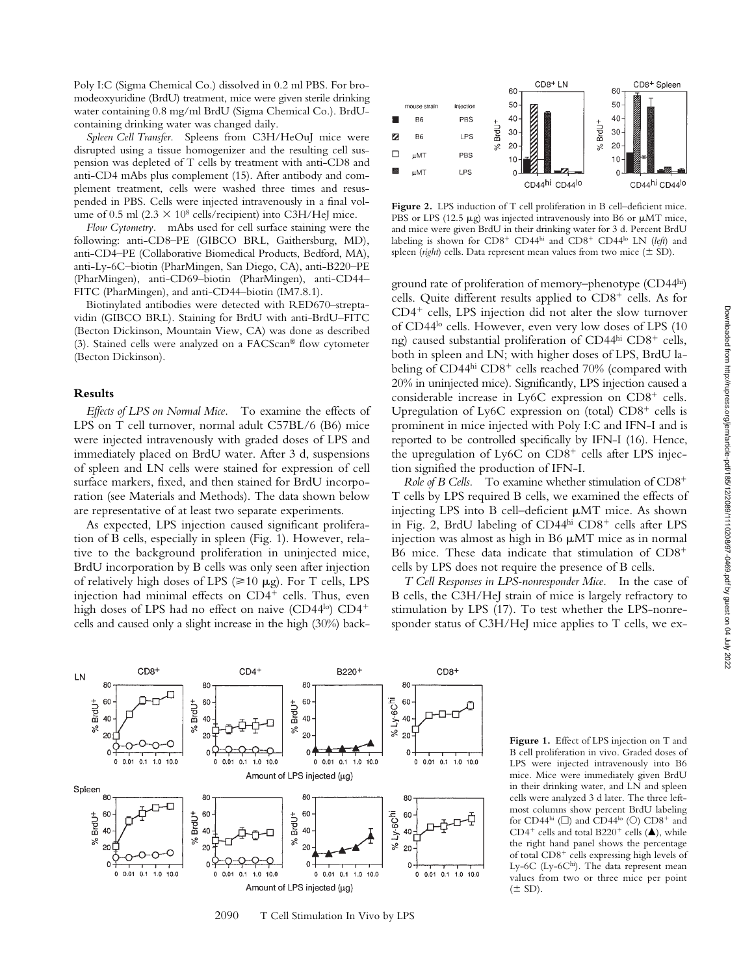Poly I:C (Sigma Chemical Co.) dissolved in 0.2 ml PBS. For bromodeoxyuridine (BrdU) treatment, mice were given sterile drinking water containing 0.8 mg/ml BrdU (Sigma Chemical Co.). BrdUcontaining drinking water was changed daily.

*Spleen Cell Transfer.* Spleens from C3H/HeOuJ mice were disrupted using a tissue homogenizer and the resulting cell suspension was depleted of T cells by treatment with anti-CD8 and anti-CD4 mAbs plus complement (15). After antibody and complement treatment, cells were washed three times and resuspended in PBS. Cells were injected intravenously in a final volume of 0.5 ml  $(2.3 \times 10^8 \text{ cells/recipient})$  into C3H/HeJ mice.

*Flow Cytometry.* mAbs used for cell surface staining were the following: anti-CD8–PE (GIBCO BRL, Gaithersburg, MD), anti-CD4–PE (Collaborative Biomedical Products, Bedford, MA), anti-Ly-6C–biotin (PharMingen, San Diego, CA), anti-B220–PE (PharMingen), anti-CD69–biotin (PharMingen), anti-CD44– FITC (PharMingen), and anti-CD44–biotin (IM7.8.1).

Biotinylated antibodies were detected with RED670–streptavidin (GIBCO BRL). Staining for BrdU with anti-BrdU–FITC (Becton Dickinson, Mountain View, CA) was done as described (3). Stained cells were analyzed on a  $FACS can^{\circledast}$  flow cytometer (Becton Dickinson).

### **Results**

*Effects of LPS on Normal Mice.* To examine the effects of LPS on T cell turnover, normal adult C57BL/6 (B6) mice were injected intravenously with graded doses of LPS and immediately placed on BrdU water. After 3 d, suspensions of spleen and LN cells were stained for expression of cell surface markers, fixed, and then stained for BrdU incorporation (see Materials and Methods). The data shown below are representative of at least two separate experiments.

As expected, LPS injection caused significant proliferation of B cells, especially in spleen (Fig. 1). However, relative to the background proliferation in uninjected mice, BrdU incorporation by B cells was only seen after injection of relatively high doses of LPS ( $\geq 10 \mu$ g). For T cells, LPS injection had minimal effects on CD4<sup>+</sup> cells. Thus, even high doses of LPS had no effect on naive (CD44<sup>lo</sup>) CD4<sup>+</sup> cells and caused only a slight increase in the high (30%) back-



Figure 2. LPS induction of T cell proliferation in B cell-deficient mice. PBS or LPS (12.5  $\mu$ g) was injected intravenously into B6 or  $\mu$ MT mice, and mice were given BrdU in their drinking water for 3 d. Percent BrdU labeling is shown for CD8<sup>+</sup> CD44<sup>hi</sup> and CD8<sup>+</sup> CD44<sup>lo</sup> LN (*left*) and spleen (*right*) cells. Data represent mean values from two mice ( $\pm$  SD).

ground rate of proliferation of memory-phenotype (CD44hi) cells. Quite different results applied to CD8<sup>+</sup> cells. As for CD4- cells, LPS injection did not alter the slow turnover of CD44<sup>lo</sup> cells. However, even very low doses of LPS (10) ng) caused substantial proliferation of CD44hi CD8<sup>+</sup> cells, both in spleen and LN; with higher doses of LPS, BrdU labeling of CD44<sup>hi</sup> CD8<sup>+</sup> cells reached 70% (compared with 20% in uninjected mice). Significantly, LPS injection caused a considerable increase in Ly6C expression on CD8<sup>+</sup> cells. Upregulation of Ly6C expression on (total)  $CD8<sup>+</sup>$  cells is prominent in mice injected with Poly I:C and IFN-I and is reported to be controlled specifically by IFN-I (16). Hence, the upregulation of Ly6C on CD8<sup>+</sup> cells after LPS injection signified the production of IFN-I.

*Role of B Cells.* To examine whether stimulation of CD8- T cells by LPS required B cells, we examined the effects of injecting LPS into B cell–deficient  $\mu$ MT mice. As shown in Fig. 2, BrdU labeling of CD44hi CD8<sup>+</sup> cells after LPS injection was almost as high in B6  $\mu$ MT mice as in normal B6 mice. These data indicate that stimulation of CD8<sup>+</sup> cells by LPS does not require the presence of B cells.

*T Cell Responses in LPS-nonresponder Mice.* In the case of B cells, the C3H/HeJ strain of mice is largely refractory to stimulation by LPS (17). To test whether the LPS-nonresponder status of C3H/HeJ mice applies to T cells, we ex-



2090 T Cell Stimulation In Vivo by LPS

**Figure 1.** Effect of LPS injection on T and B cell proliferation in vivo. Graded doses of LPS were injected intravenously into B6 mice. Mice were immediately given BrdU in their drinking water, and LN and spleen cells were analyzed 3 d later. The three leftmost columns show percent BrdU labeling for CD44 $^{\rm hi}$  ( $\Box$ ) and CD44 $^{\rm lo}$  ( $\odot$ ) CD8 $^+$  and CD4<sup>+</sup> cells and total B220<sup>+</sup> cells ( $\triangle$ ), while the right hand panel shows the percentage of total CD8<sup>+</sup> cells expressing high levels of Ly-6C (Ly-6Chi). The data represent mean values from two or three mice per point  $(\pm$  SD).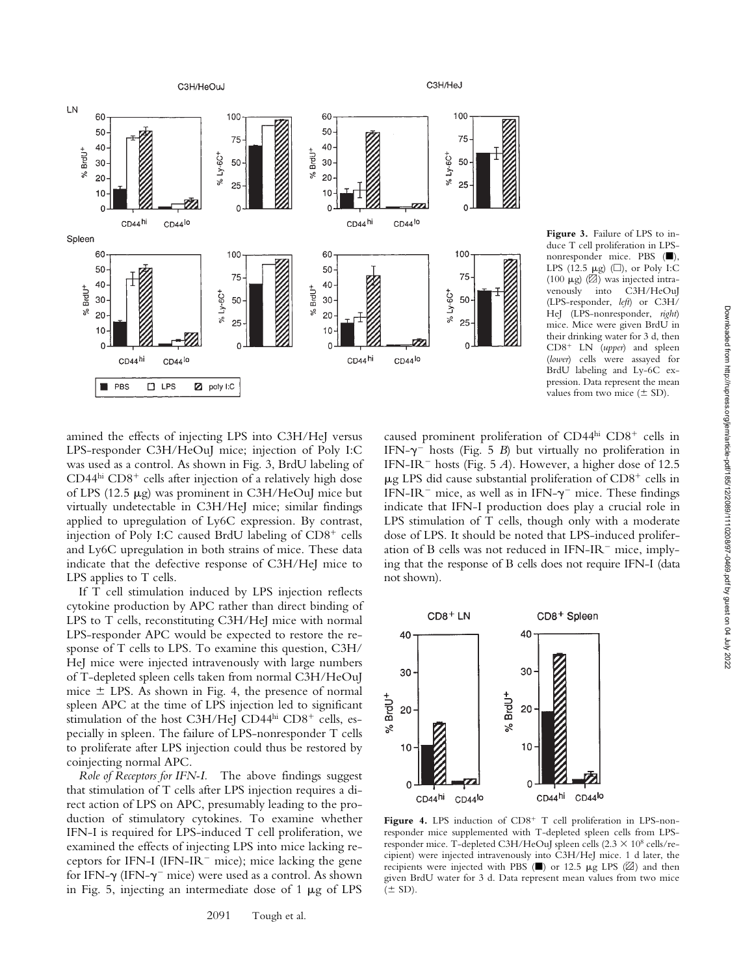

**Figure 3.** Failure of LPS to induce T cell proliferation in LPSnonresponder mice. PBS ( $\blacksquare$ ), LPS (12.5  $\mu$ g) ( $\square$ ), or Poly I:C (100  $\mu$ g) ( $\boxtimes$ ) was injected intravenously into C3H/HeOuJ (LPS-responder, *left*) or C3H/ HeJ (LPS-nonresponder, *right*) mice. Mice were given BrdU in their drinking water for 3 d, then CD8- LN (*upper*) and spleen (*lower*) cells were assayed for BrdU labeling and Ly-6C expression. Data represent the mean values from two mice ( $\pm$  SD).

amined the effects of injecting LPS into C3H/HeJ versus LPS-responder C3H/HeOuJ mice; injection of Poly I:C was used as a control. As shown in Fig. 3, BrdU labeling of CD44hi CD8<sup>+</sup> cells after injection of a relatively high dose of LPS (12.5  $\mu$ g) was prominent in C3H/HeOuJ mice but virtually undetectable in C3H/HeJ mice; similar findings applied to upregulation of Ly6C expression. By contrast, injection of Poly I:C caused BrdU labeling of CD8<sup>+</sup> cells and Ly6C upregulation in both strains of mice. These data indicate that the defective response of C3H/HeJ mice to LPS applies to T cells.

If T cell stimulation induced by LPS injection reflects cytokine production by APC rather than direct binding of LPS to T cells, reconstituting C3H/HeJ mice with normal LPS-responder APC would be expected to restore the response of T cells to LPS. To examine this question, C3H/ HeJ mice were injected intravenously with large numbers of T-depleted spleen cells taken from normal C3H/HeOuJ mice LPS. As shown in Fig. 4, the presence of normal spleen APC at the time of LPS injection led to significant stimulation of the host C3H/HeJ CD44hi CD8<sup>+</sup> cells, especially in spleen. The failure of LPS-nonresponder T cells to proliferate after LPS injection could thus be restored by coinjecting normal APC.

*Role of Receptors for IFN-I.* The above findings suggest that stimulation of T cells after LPS injection requires a direct action of LPS on APC, presumably leading to the production of stimulatory cytokines. To examine whether IFN-I is required for LPS-induced T cell proliferation, we examined the effects of injecting LPS into mice lacking receptors for IFN-I (IFN-IR<sup> $-$ </sup> mice); mice lacking the gene for IFN- $\gamma$  (IFN- $\gamma$ <sup>-</sup> mice) were used as a control. As shown in Fig. 5, injecting an intermediate dose of  $1 \mu$ g of LPS

caused prominent proliferation of CD44hi CD8<sup>+</sup> cells in IFN- $\gamma$ <sup>-</sup> hosts (Fig. 5 *B*) but virtually no proliferation in IFN-IR<sup>-</sup> hosts (Fig. 5  $\hat{A}$ ). However, a higher dose of 12.5  $\mu$ g LPS did cause substantial proliferation of CD8<sup>+</sup> cells in IFN-IR<sup>-</sup> mice, as well as in IFN- $\gamma$ <sup>-</sup> mice. These findings indicate that IFN-I production does play a crucial role in LPS stimulation of T cells, though only with a moderate dose of LPS. It should be noted that LPS-induced proliferation of B cells was not reduced in  $IFN-IR^-$  mice, implying that the response of B cells does not require IFN-I (data not shown).



Figure 4. LPS induction of CD8<sup>+</sup> T cell proliferation in LPS-nonresponder mice supplemented with T-depleted spleen cells from LPSresponder mice. T-depleted C3H/HeOuJ spleen cells  $(2.3 \times 10^8 \text{ cells/re-}$ cipient) were injected intravenously into C3H/HeJ mice. 1 d later, the recipients were injected with PBS ( $\blacksquare$ ) or 12.5  $\mu$ g LPS ( $\boxtimes$ ) and then given BrdU water for 3 d. Data represent mean values from two mice  $(\pm$  SD).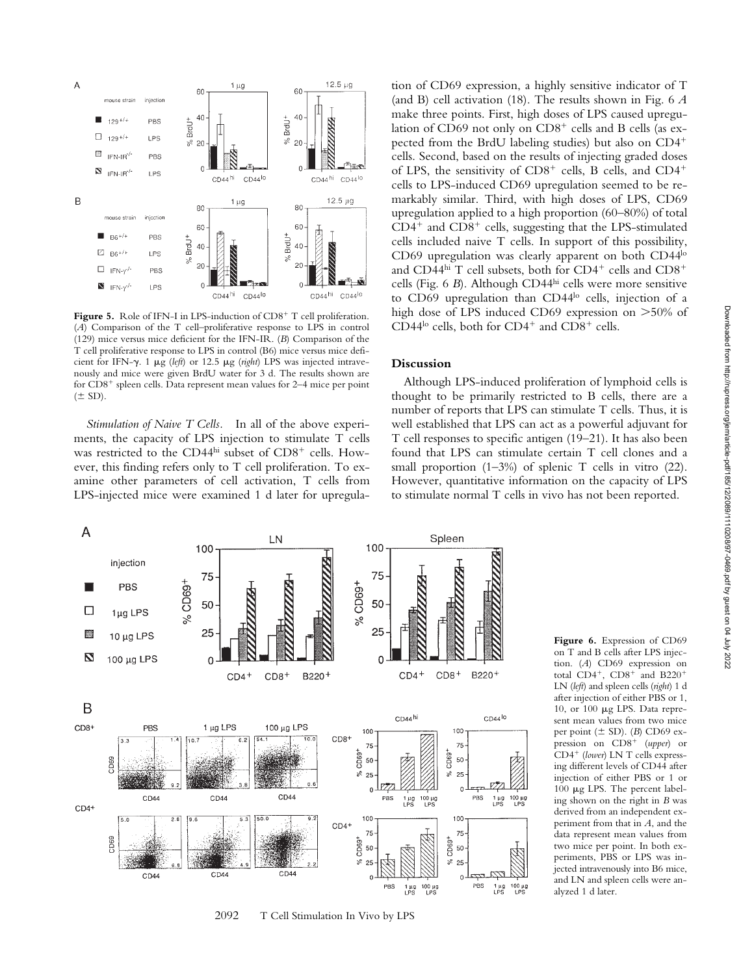

Figure 5. Role of IFN-I in LPS-induction of CD8<sup>+</sup> T cell proliferation. (*A*) Comparison of the T cell–proliferative response to LPS in control (129) mice versus mice deficient for the IFN-IR. (*B*) Comparison of the T cell proliferative response to LPS in control (B6) mice versus mice deficient for IFN- $\gamma$ . 1  $\mu$ g (*left*) or 12.5  $\mu$ g (*right*) LPS was injected intravenously and mice were given BrdU water for 3 d. The results shown are for CD8<sup>+</sup> spleen cells. Data represent mean values for 2–4 mice per point  $(\pm$  SD).

*Stimulation of Naive T Cells.* In all of the above experiments, the capacity of LPS injection to stimulate T cells was restricted to the CD44hi subset of CD8<sup>+</sup> cells. However, this finding refers only to T cell proliferation. To examine other parameters of cell activation, T cells from LPS-injected mice were examined 1 d later for upregula-

tion of CD69 expression, a highly sensitive indicator of T (and B) cell activation (18). The results shown in Fig. 6 *A* make three points. First, high doses of LPS caused upregulation of CD69 not only on CD8<sup>+</sup> cells and B cells (as expected from the BrdU labeling studies) but also on CD4 cells. Second, based on the results of injecting graded doses of LPS, the sensitivity of CD8<sup>+</sup> cells, B cells, and CD4<sup>+</sup> cells to LPS-induced CD69 upregulation seemed to be remarkably similar. Third, with high doses of LPS, CD69 upregulation applied to a high proportion (60–80%) of total CD4<sup>+</sup> and CD8<sup>+</sup> cells, suggesting that the LPS-stimulated cells included naive T cells. In support of this possibility, CD69 upregulation was clearly apparent on both CD44<sup>lo</sup> and CD44hi T cell subsets, both for CD4<sup>+</sup> cells and CD8<sup>+</sup> cells (Fig. 6 *B*). Although CD44hi cells were more sensitive to CD69 upregulation than CD44<sup>lo</sup> cells, injection of a high dose of LPS induced CD69 expression on  $>50\%$  of CD44 $\rm ^{lo}$  cells, both for CD4<sup>+</sup> and CD8<sup>+</sup> cells.

### **Discussion**

Although LPS-induced proliferation of lymphoid cells is thought to be primarily restricted to B cells, there are a number of reports that LPS can stimulate T cells. Thus, it is well established that LPS can act as a powerful adjuvant for T cell responses to specific antigen (19–21). It has also been found that LPS can stimulate certain T cell clones and a small proportion  $(1-3\%)$  of splenic T cells in vitro  $(22)$ . However, quantitative information on the capacity of LPS to stimulate normal T cells in vivo has not been reported.



2092 T Cell Stimulation In Vivo by LPS

**Figure 6.** Expression of CD69 on T and B cells after LPS injection. (*A*) CD69 expression on total  $CD4^+$ ,  $CD8^+$  and  $B220^+$ LN (*left*) and spleen cells (*right*) 1 d after injection of either PBS or 1, 10, or 100  $\mu$ g LPS. Data represent mean values from two mice per point ( SD). (*B*) CD69 expression on CD8- (*upper*) or CD4- (*lower*) LN T cells expressing different levels of CD44 after injection of either PBS or 1 or 100  $\mu$ g LPS. The percent labeling shown on the right in *B* was derived from an independent experiment from that in *A*, and the data represent mean values from two mice per point. In both experiments, PBS or LPS was injected intravenously into B6 mice, and LN and spleen cells were analyzed 1 d later.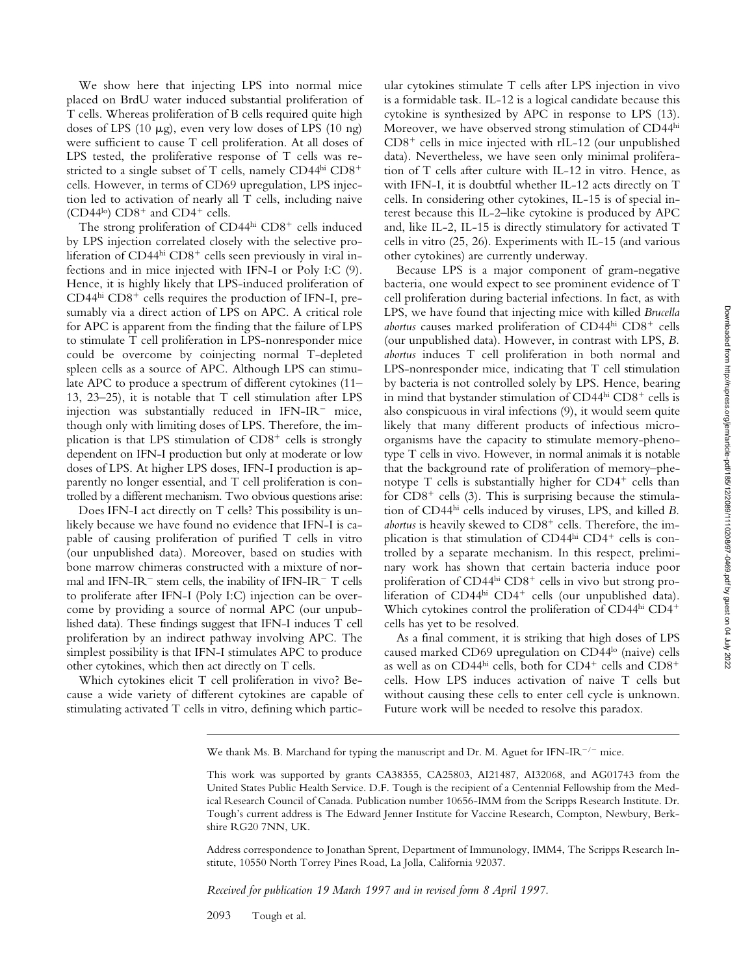We show here that injecting LPS into normal mice placed on BrdU water induced substantial proliferation of T cells. Whereas proliferation of B cells required quite high doses of LPS (10  $\mu$ g), even very low doses of LPS (10 ng) were sufficient to cause T cell proliferation. At all doses of LPS tested, the proliferative response of T cells was restricted to a single subset of T cells, namely CD44hi CD8<sup>+</sup> cells. However, in terms of CD69 upregulation, LPS injection led to activation of nearly all T cells, including naive  $(CD44^{\text{lo}})$   $CD8^+$  and  $CD4^+$  cells.

The strong proliferation of CD44hi CD8<sup>+</sup> cells induced by LPS injection correlated closely with the selective proliferation of CD44hi CD8<sup>+</sup> cells seen previously in viral infections and in mice injected with IFN-I or Poly I:C (9). Hence, it is highly likely that LPS-induced proliferation of CD44<sup>hi</sup> CD8<sup>+</sup> cells requires the production of IFN-I, presumably via a direct action of LPS on APC. A critical role for APC is apparent from the finding that the failure of LPS to stimulate T cell proliferation in LPS-nonresponder mice could be overcome by coinjecting normal T-depleted spleen cells as a source of APC. Although LPS can stimulate APC to produce a spectrum of different cytokines (11– 13, 23–25), it is notable that T cell stimulation after LPS injection was substantially reduced in IFN-IR<sup>-</sup> mice, though only with limiting doses of LPS. Therefore, the implication is that LPS stimulation of CD8<sup>+</sup> cells is strongly dependent on IFN-I production but only at moderate or low doses of LPS. At higher LPS doses, IFN-I production is apparently no longer essential, and T cell proliferation is controlled by a different mechanism. Two obvious questions arise:

Does IFN-I act directly on T cells? This possibility is unlikely because we have found no evidence that IFN-I is capable of causing proliferation of purified T cells in vitro (our unpublished data). Moreover, based on studies with bone marrow chimeras constructed with a mixture of normal and IFN-IR<sup> $-$ </sup> stem cells, the inability of IFN-IR $-$  T cells to proliferate after IFN-I (Poly I:C) injection can be overcome by providing a source of normal APC (our unpublished data). These findings suggest that IFN-I induces T cell proliferation by an indirect pathway involving APC. The simplest possibility is that IFN-I stimulates APC to produce other cytokines, which then act directly on T cells.

Which cytokines elicit T cell proliferation in vivo? Because a wide variety of different cytokines are capable of stimulating activated T cells in vitro, defining which particular cytokines stimulate T cells after LPS injection in vivo is a formidable task. IL-12 is a logical candidate because this cytokine is synthesized by APC in response to LPS (13). Moreover, we have observed strong stimulation of CD44hi CD8- cells in mice injected with rIL-12 (our unpublished data). Nevertheless, we have seen only minimal proliferation of T cells after culture with IL-12 in vitro. Hence, as with IFN-I, it is doubtful whether IL-12 acts directly on T cells. In considering other cytokines, IL-15 is of special interest because this IL-2–like cytokine is produced by APC and, like IL-2, IL-15 is directly stimulatory for activated T cells in vitro (25, 26). Experiments with IL-15 (and various other cytokines) are currently underway.

Because LPS is a major component of gram-negative bacteria, one would expect to see prominent evidence of T cell proliferation during bacterial infections. In fact, as with LPS, we have found that injecting mice with killed *Brucella* abortus causes marked proliferation of CD44hi CD8<sup>+</sup> cells (our unpublished data). However, in contrast with LPS, *B. abortus* induces T cell proliferation in both normal and LPS-nonresponder mice, indicating that T cell stimulation by bacteria is not controlled solely by LPS. Hence, bearing in mind that bystander stimulation of CD44hi CD8<sup>+</sup> cells is also conspicuous in viral infections (9), it would seem quite likely that many different products of infectious microorganisms have the capacity to stimulate memory-phenotype T cells in vivo. However, in normal animals it is notable that the background rate of proliferation of memory–phenotype T cells is substantially higher for CD4<sup>+</sup> cells than for CD8<sup>+</sup> cells (3). This is surprising because the stimulation of CD44hi cells induced by viruses, LPS, and killed *B.* abortus is heavily skewed to CD8<sup>+</sup> cells. Therefore, the implication is that stimulation of CD44<sup>hi</sup> CD4<sup>+</sup> cells is controlled by a separate mechanism. In this respect, preliminary work has shown that certain bacteria induce poor proliferation of CD44<sup>hi</sup> CD8<sup>+</sup> cells in vivo but strong proliferation of CD44hi CD4<sup>+</sup> cells (our unpublished data). Which cytokines control the proliferation of CD44hi CD4<sup>+</sup> cells has yet to be resolved.

As a final comment, it is striking that high doses of LPS caused marked CD69 upregulation on CD44lo (naive) cells as well as on CD44 $^{\rm hi}$  cells, both for CD4 $^+$  cells and CD8 $^+$ cells. How LPS induces activation of naive T cells but without causing these cells to enter cell cycle is unknown. Future work will be needed to resolve this paradox.

Address correspondence to Jonathan Sprent, Department of Immunology, IMM4, The Scripps Research Institute, 10550 North Torrey Pines Road, La Jolla, California 92037.

*Received for publication 19 March 1997 and in revised form 8 April 1997.*

2093 Tough et al.

We thank Ms. B. Marchand for typing the manuscript and Dr. M. Aguet for IFN-IR<sup>-/-</sup> mice.

This work was supported by grants CA38355, CA25803, AI21487, AI32068, and AG01743 from the United States Public Health Service. D.F. Tough is the recipient of a Centennial Fellowship from the Medical Research Council of Canada. Publication number 10656-IMM from the Scripps Research Institute. Dr. Tough's current address is The Edward Jenner Institute for Vaccine Research, Compton, Newbury, Berkshire RG20 7NN, UK.